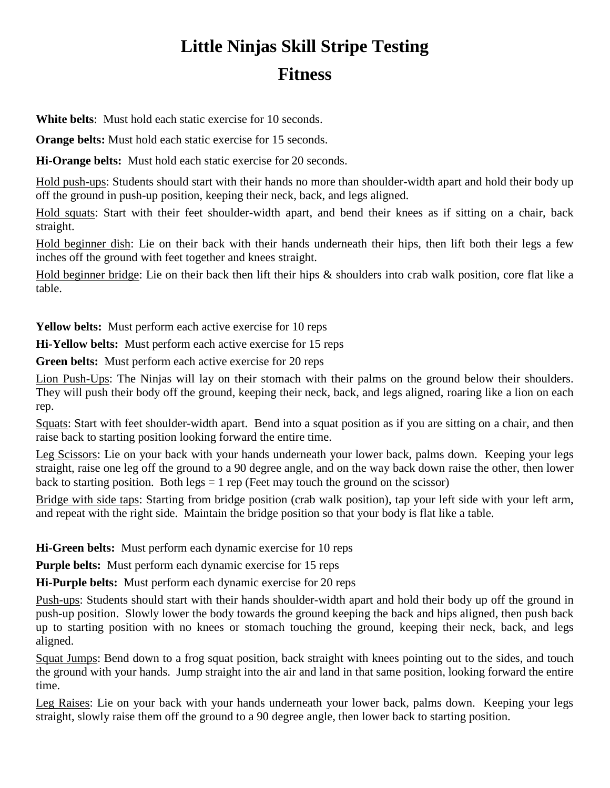## **Little Ninjas Skill Stripe Testing Fitness**

**White belts**: Must hold each static exercise for 10 seconds.

**Orange belts:** Must hold each static exercise for 15 seconds.

**Hi-Orange belts:** Must hold each static exercise for 20 seconds.

Hold push-ups: Students should start with their hands no more than shoulder-width apart and hold their body up off the ground in push-up position, keeping their neck, back, and legs aligned.

Hold squats: Start with their feet shoulder-width apart, and bend their knees as if sitting on a chair, back straight.

Hold beginner dish: Lie on their back with their hands underneath their hips, then lift both their legs a few inches off the ground with feet together and knees straight.

Hold beginner bridge: Lie on their back then lift their hips & shoulders into crab walk position, core flat like a table.

**Yellow belts:** Must perform each active exercise for 10 reps

**Hi-Yellow belts:** Must perform each active exercise for 15 reps

**Green belts:** Must perform each active exercise for 20 reps

Lion Push-Ups: The Ninjas will lay on their stomach with their palms on the ground below their shoulders. They will push their body off the ground, keeping their neck, back, and legs aligned, roaring like a lion on each rep.

Squats: Start with feet shoulder-width apart. Bend into a squat position as if you are sitting on a chair, and then raise back to starting position looking forward the entire time.

Leg Scissors: Lie on your back with your hands underneath your lower back, palms down. Keeping your legs straight, raise one leg off the ground to a 90 degree angle, and on the way back down raise the other, then lower back to starting position. Both  $\text{legs} = 1$  rep (Feet may touch the ground on the scissor)

Bridge with side taps: Starting from bridge position (crab walk position), tap your left side with your left arm, and repeat with the right side. Maintain the bridge position so that your body is flat like a table.

**Hi-Green belts:** Must perform each dynamic exercise for 10 reps

**Purple belts:** Must perform each dynamic exercise for 15 reps

**Hi-Purple belts:** Must perform each dynamic exercise for 20 reps

Push-ups: Students should start with their hands shoulder-width apart and hold their body up off the ground in push-up position. Slowly lower the body towards the ground keeping the back and hips aligned, then push back up to starting position with no knees or stomach touching the ground, keeping their neck, back, and legs aligned.

Squat Jumps: Bend down to a frog squat position, back straight with knees pointing out to the sides, and touch the ground with your hands. Jump straight into the air and land in that same position, looking forward the entire time.

Leg Raises: Lie on your back with your hands underneath your lower back, palms down. Keeping your legs straight, slowly raise them off the ground to a 90 degree angle, then lower back to starting position.